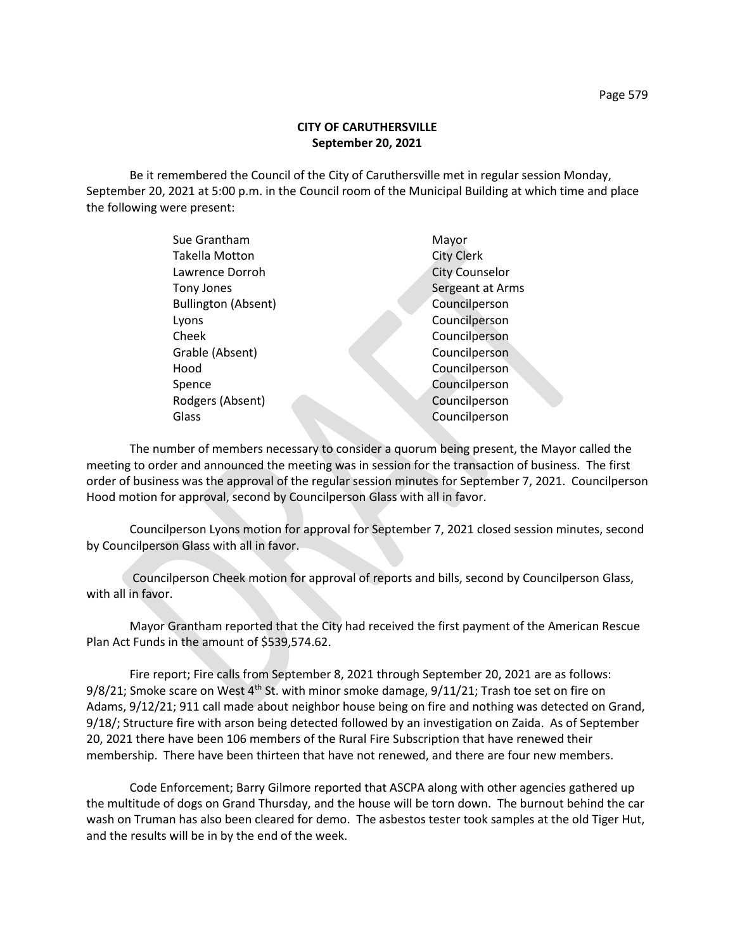## **CITY OF CARUTHERSVILLE September 20, 2021**

Be it remembered the Council of the City of Caruthersville met in regular session Monday, September 20, 2021 at 5:00 p.m. in the Council room of the Municipal Building at which time and place the following were present:

| Sue Grantham               | Mayor                 |
|----------------------------|-----------------------|
| Takella Motton             | <b>City Clerk</b>     |
| Lawrence Dorroh            | <b>City Counselor</b> |
| Tony Jones                 | Sergeant at Arms      |
| <b>Bullington (Absent)</b> | Councilperson         |
| Lyons                      | Councilperson         |
| Cheek                      | Councilperson         |
| Grable (Absent)            | Councilperson         |
| Hood                       | Councilperson         |
| Spence                     | Councilperson         |
| Rodgers (Absent)           | Councilperson         |
| Glass                      | Councilperson         |
|                            |                       |

The number of members necessary to consider a quorum being present, the Mayor called the meeting to order and announced the meeting was in session for the transaction of business. The first order of business was the approval of the regular session minutes for September 7, 2021. Councilperson Hood motion for approval, second by Councilperson Glass with all in favor.

Councilperson Lyons motion for approval for September 7, 2021 closed session minutes, second by Councilperson Glass with all in favor.

Councilperson Cheek motion for approval of reports and bills, second by Councilperson Glass, with all in favor.

Mayor Grantham reported that the City had received the first payment of the American Rescue Plan Act Funds in the amount of \$539,574.62.

Fire report; Fire calls from September 8, 2021 through September 20, 2021 are as follows: 9/8/21; Smoke scare on West  $4<sup>th</sup>$  St. with minor smoke damage, 9/11/21; Trash toe set on fire on Adams, 9/12/21; 911 call made about neighbor house being on fire and nothing was detected on Grand, 9/18/; Structure fire with arson being detected followed by an investigation on Zaida. As of September 20, 2021 there have been 106 members of the Rural Fire Subscription that have renewed their membership. There have been thirteen that have not renewed, and there are four new members.

Code Enforcement; Barry Gilmore reported that ASCPA along with other agencies gathered up the multitude of dogs on Grand Thursday, and the house will be torn down. The burnout behind the car wash on Truman has also been cleared for demo. The asbestos tester took samples at the old Tiger Hut, and the results will be in by the end of the week.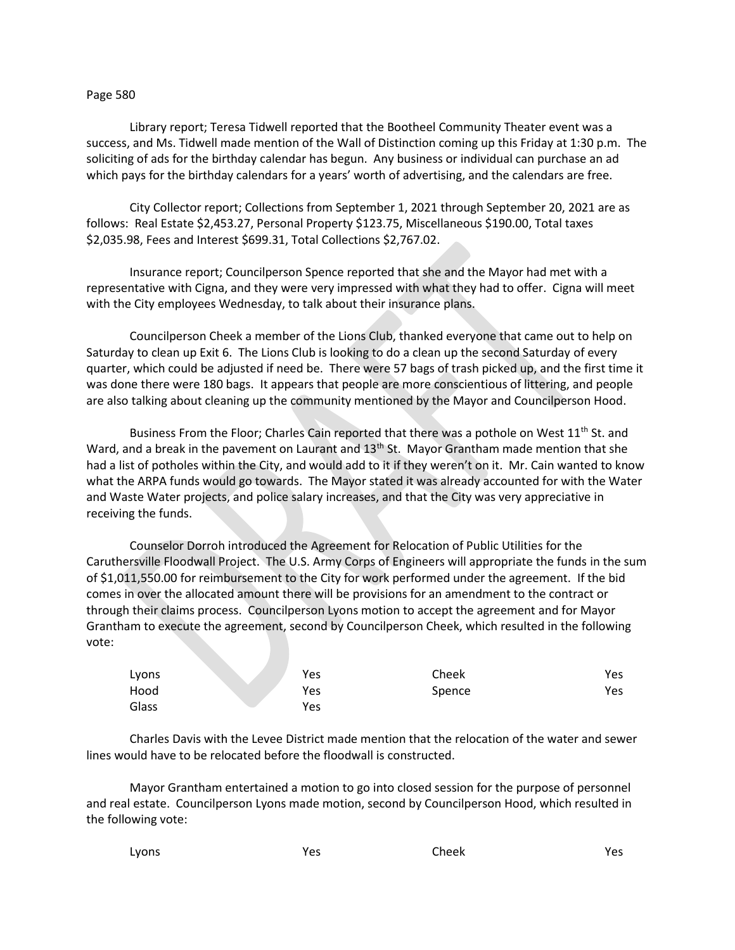## Page 580

Library report; Teresa Tidwell reported that the Bootheel Community Theater event was a success, and Ms. Tidwell made mention of the Wall of Distinction coming up this Friday at 1:30 p.m. The soliciting of ads for the birthday calendar has begun. Any business or individual can purchase an ad which pays for the birthday calendars for a years' worth of advertising, and the calendars are free.

City Collector report; Collections from September 1, 2021 through September 20, 2021 are as follows: Real Estate \$2,453.27, Personal Property \$123.75, Miscellaneous \$190.00, Total taxes \$2,035.98, Fees and Interest \$699.31, Total Collections \$2,767.02.

Insurance report; Councilperson Spence reported that she and the Mayor had met with a representative with Cigna, and they were very impressed with what they had to offer. Cigna will meet with the City employees Wednesday, to talk about their insurance plans.

Councilperson Cheek a member of the Lions Club, thanked everyone that came out to help on Saturday to clean up Exit 6. The Lions Club is looking to do a clean up the second Saturday of every quarter, which could be adjusted if need be. There were 57 bags of trash picked up, and the first time it was done there were 180 bags. It appears that people are more conscientious of littering, and people are also talking about cleaning up the community mentioned by the Mayor and Councilperson Hood.

Business From the Floor; Charles Cain reported that there was a pothole on West  $11<sup>th</sup>$  St. and Ward, and a break in the pavement on Laurant and 13<sup>th</sup> St. Mayor Grantham made mention that she had a list of potholes within the City, and would add to it if they weren't on it. Mr. Cain wanted to know what the ARPA funds would go towards. The Mayor stated it was already accounted for with the Water and Waste Water projects, and police salary increases, and that the City was very appreciative in receiving the funds.

Counselor Dorroh introduced the Agreement for Relocation of Public Utilities for the Caruthersville Floodwall Project. The U.S. Army Corps of Engineers will appropriate the funds in the sum of \$1,011,550.00 for reimbursement to the City for work performed under the agreement. If the bid comes in over the allocated amount there will be provisions for an amendment to the contract or through their claims process. Councilperson Lyons motion to accept the agreement and for Mayor Grantham to execute the agreement, second by Councilperson Cheek, which resulted in the following vote:

| Lyons | Yes | Cheek  | Yes |
|-------|-----|--------|-----|
| Hood  | Yes | Spence | Yes |
| Glass | Yes |        |     |

Charles Davis with the Levee District made mention that the relocation of the water and sewer lines would have to be relocated before the floodwall is constructed.

Mayor Grantham entertained a motion to go into closed session for the purpose of personnel and real estate. Councilperson Lyons made motion, second by Councilperson Hood, which resulted in the following vote:

| Lyons | Yes | Cheek | Yes |
|-------|-----|-------|-----|
|       |     |       |     |